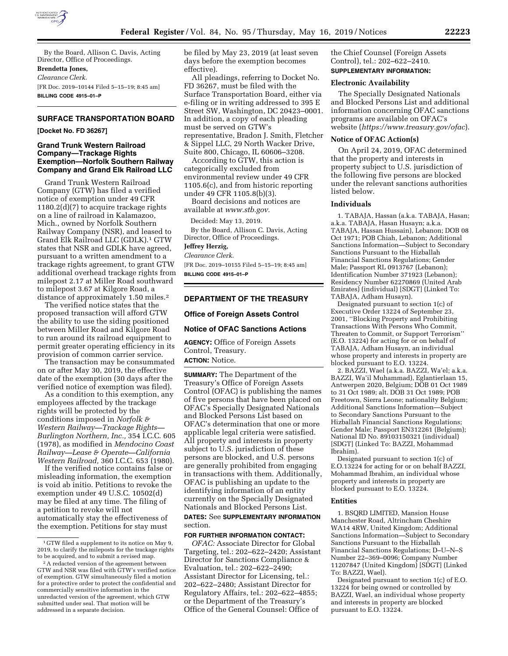

By the Board, Allison C. Davis, Acting Director, Office of Proceedings. **Brendetta Jones,** 

*Clearance Clerk.*  [FR Doc. 2019–10144 Filed 5–15–19; 8:45 am] **BILLING CODE 4915–01–P** 

# **SURFACE TRANSPORTATION BOARD**

**[Docket No. FD 36267]** 

# **Grand Trunk Western Railroad Company—Trackage Rights Exemption—Norfolk Southern Railway Company and Grand Elk Railroad LLC**

Grand Trunk Western Railroad Company (GTW) has filed a verified notice of exemption under 49 CFR 1180.2(d)(7) to acquire trackage rights on a line of railroad in Kalamazoo, Mich., owned by Norfolk Southern Railway Company (NSR), and leased to Grand Elk Railroad LLC (GDLK).1 GTW states that NSR and GDLK have agreed, pursuant to a written amendment to a trackage rights agreement, to grant GTW additional overhead trackage rights from milepost 2.17 at Miller Road southward to milepost 3.67 at Kilgore Road, a distance of approximately 1.50 miles.2

The verified notice states that the proposed transaction will afford GTW the ability to use the siding positioned between Miller Road and Kilgore Road to run around its railroad equipment to permit greater operating efficiency in its provision of common carrier service.

The transaction may be consummated on or after May 30, 2019, the effective date of the exemption (30 days after the verified notice of exemption was filed).

As a condition to this exemption, any employees affected by the trackage rights will be protected by the conditions imposed in *Norfolk & Western Railway—Trackage Rights— Burlington Northern, Inc.,* 354 I.C.C. 605 (1978), as modified in *Mendocino Coast Railway—Lease & Operate—California Western Railroad,* 360 I.C.C. 653 (1980).

If the verified notice contains false or misleading information, the exemption is void ab initio. Petitions to revoke the exemption under 49 U.S.C. 10502(d) may be filed at any time. The filing of a petition to revoke will not automatically stay the effectiveness of the exemption. Petitions for stay must

be filed by May 23, 2019 (at least seven days before the exemption becomes effective).

All pleadings, referring to Docket No. FD 36267, must be filed with the Surface Transportation Board, either via e-filing or in writing addressed to 395 E Street SW, Washington, DC 20423–0001. In addition, a copy of each pleading must be served on GTW's representative, Bradon J. Smith, Fletcher & Sippel LLC, 29 North Wacker Drive, Suite 800, Chicago, IL 60606–3208.

According to GTW, this action is categorically excluded from environmental review under 49 CFR 1105.6(c), and from historic reporting under 49 CFR 1105.8(b)(3).

Board decisions and notices are available at *[www.stb.gov.](http://www.stb.gov)* 

Decided: May 13, 2019.

By the Board, Allison C. Davis, Acting Director, Office of Proceedings.

# **Jeffrey Herzig,**

*Clearance Clerk.* 

[FR Doc. 2019–10155 Filed 5–15–19; 8:45 am] **BILLING CODE 4915–01–P** 

# **DEPARTMENT OF THE TREASURY**

## **Office of Foreign Assets Control**

### **Notice of OFAC Sanctions Actions**

**AGENCY:** Office of Foreign Assets Control, Treasury.

**ACTION:** Notice.

**SUMMARY:** The Department of the Treasury's Office of Foreign Assets Control (OFAC) is publishing the names of five persons that have been placed on OFAC's Specially Designated Nationals and Blocked Persons List based on OFAC's determination that one or more applicable legal criteria were satisfied. All property and interests in property subject to U.S. jurisdiction of these persons are blocked, and U.S. persons are generally prohibited from engaging in transactions with them. Additionally, OFAC is publishing an update to the identifying information of an entity currently on the Specially Designated Nationals and Blocked Persons List.

# **DATES:** See **SUPPLEMENTARY INFORMATION** section.

### **FOR FURTHER INFORMATION CONTACT:**

*OFAC:* Associate Director for Global Targeting, tel.: 202–622–2420; Assistant Director for Sanctions Compliance & Evaluation, tel.: 202–622–2490; Assistant Director for Licensing, tel.: 202–622–2480; Assistant Director for Regulatory Affairs, tel.: 202–622–4855; or the Department of the Treasury's Office of the General Counsel: Office of

the Chief Counsel (Foreign Assets Control), tel.: 202–622–2410. **SUPPLEMENTARY INFORMATION:** 

**Electronic Availability** 

The Specially Designated Nationals and Blocked Persons List and additional information concerning OFAC sanctions programs are available on OFAC's website (*<https://www.treasury.gov/ofac>*).

### **Notice of OFAC Action(s)**

On April 24, 2019, OFAC determined that the property and interests in property subject to U.S. jurisdiction of the following five persons are blocked under the relevant sanctions authorities listed below.

# **Individuals**

1. TABAJA, Hassan (a.k.a. TABAJA, Hasan; a.k.a. TABAJA, Hasan Husayn; a.k.a. TABAJA, Hassan Hussain), Lebanon; DOB 08 Oct 1971; POB Chiah, Lebanon; Additional Sanctions Information—Subject to Secondary Sanctions Pursuant to the Hizballah Financial Sanctions Regulations; Gender Male; Passport RL 0913767 (Lebanon); Identification Number 371923 (Lebanon); Residency Number 62270869 (United Arab Emirates) (individual) [SDGT] (Linked To: TABAJA, Adham Husayn).

Designated pursuant to section 1(c) of Executive Order 13224 of September 23, 2001, ''Blocking Property and Prohibiting Transactions With Persons Who Commit, Threaten to Commit, or Support Terrorism'' (E.O. 13224) for acting for or on behalf of TABAJA, Adham Husayn, an individual whose property and interests in property are blocked pursuant to E.O. 13224.

2. BAZZI, Wael (a.k.a. BAZZI, Wa'el; a.k.a. BAZZI, Wa'il Muhammad), Eglantierlaan 15, Antwerpen 2020, Belgium; DOB 01 Oct 1989 to 31 Oct 1989; alt. DOB 31 Oct 1989; POB Freetown, Sierra Leone; nationality Belgium; Additional Sanctions Information—Subject to Secondary Sanctions Pursuant to the Hizballah Financial Sanctions Regulations; Gender Male; Passport EN312261 (Belgium); National ID No. 89103150321 (individual) [SDGT] (Linked To: BAZZI, Mohammad Ibrahim).

Designated pursuant to section 1(c) of E.O.13224 for acting for or on behalf BAZZI, Mohammad Ibrahim, an individual whose property and interests in property are blocked pursuant to E.O. 13224.

### **Entities**

1. BSQRD LIMITED, Mansion House Manchester Road, Altrincham Cheshire WA14 4RW, United Kingdom; Additional Sanctions Information—Subject to Secondary Sanctions Pursuant to the Hizballah Financial Sanctions Regulations; D–U–N–S Number 22–369–0096; Company Number 11207847 (United Kingdom) [SDGT] (Linked To: BAZZI, Wael).

Designated pursuant to section 1(c) of E.O. 13224 for being owned or controlled by BAZZI, Wael, an individual whose property and interests in property are blocked pursuant to E.O. 13224.

<sup>1</sup> GTW filed a supplement to its notice on May 9, 2019, to clarify the mileposts for the trackage rights to be acquired, and to submit a revised map.

<sup>&</sup>lt;sup>2</sup> A redacted version of the agreement between GTW and NSR was filed with GTW's verified notice of exemption. GTW simultaneously filed a motion for a protective order to protect the confidential and commercially sensitive information in the unredacted version of the agreement, which GTW submitted under seal. That motion will be addressed in a separate decision.